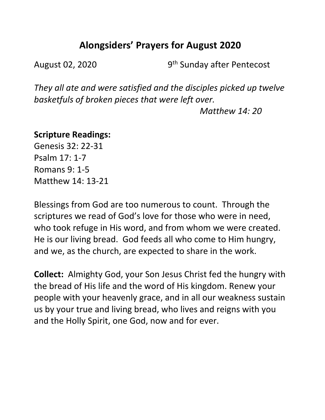# **Alongsiders' Prayers for August 2020**

August 02, 2020 9<sup>th</sup> Sunday after Pentecost

*They all ate and were satisfied and the disciples picked up twelve basketfuls of broken pieces that were left over.* 

 *Matthew 14: 20*

#### **Scripture Readings:**

Genesis 32: 22-31 Psalm 17: 1-7 Romans 9: 1-5 Matthew 14: 13-21

Blessings from God are too numerous to count. Through the scriptures we read of God's love for those who were in need, who took refuge in His word, and from whom we were created. He is our living bread. God feeds all who come to Him hungry, and we, as the church, are expected to share in the work.

**Collect:** Almighty God, your Son Jesus Christ fed the hungry with the bread of His life and the word of His kingdom. Renew your people with your heavenly grace, and in all our weakness sustain us by your true and living bread, who lives and reigns with you and the Holly Spirit, one God, now and for ever.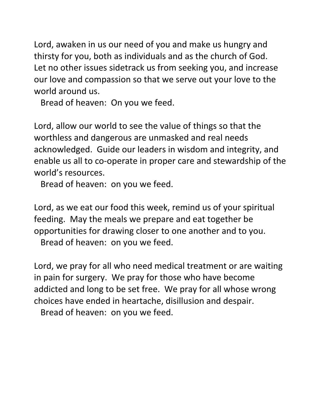Lord, awaken in us our need of you and make us hungry and thirsty for you, both as individuals and as the church of God. Let no other issues sidetrack us from seeking you, and increase our love and compassion so that we serve out your love to the world around us.

Bread of heaven: On you we feed.

Lord, allow our world to see the value of things so that the worthless and dangerous are unmasked and real needs acknowledged. Guide our leaders in wisdom and integrity, and enable us all to co-operate in proper care and stewardship of the world's resources.

Bread of heaven: on you we feed.

Lord, as we eat our food this week, remind us of your spiritual feeding. May the meals we prepare and eat together be opportunities for drawing closer to one another and to you.

Bread of heaven: on you we feed.

Lord, we pray for all who need medical treatment or are waiting in pain for surgery. We pray for those who have become addicted and long to be set free. We pray for all whose wrong choices have ended in heartache, disillusion and despair.

Bread of heaven: on you we feed.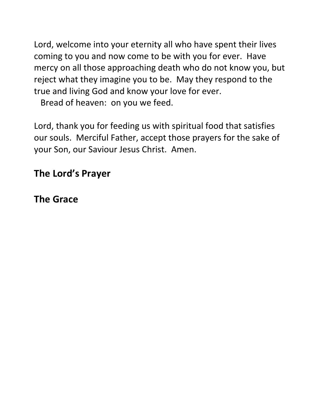Lord, welcome into your eternity all who have spent their lives coming to you and now come to be with you for ever. Have mercy on all those approaching death who do not know you, but reject what they imagine you to be. May they respond to the true and living God and know your love for ever.

Bread of heaven: on you we feed.

Lord, thank you for feeding us with spiritual food that satisfies our souls. Merciful Father, accept those prayers for the sake of your Son, our Saviour Jesus Christ. Amen.

# **The Lord's Prayer**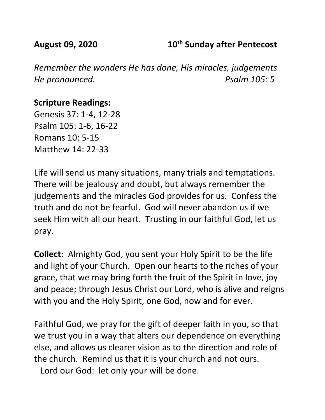### **August 09, 2020 10th Sunday after Pentecost**

*Remember the wonders He has done, His miracles, judgements He pronounced. Psalm 105: 5* 

### **Scripture Readings:**

Genesis 37: 1-4, 12-28 Psalm 105: 1-6, 16-22 Romans 10: 5-15 Matthew 14: 22-33

Life will send us many situations, many trials and temptations. There will be jealousy and doubt, but always remember the judgements and the miracles God provides for us. Confess the truth and do not be fearful. God will never abandon us if we seek Him with all our heart. Trusting in our faithful God, let us pray.

**Collect:** Almighty God, you sent your Holy Spirit to be the life and light of your Church. Open our hearts to the riches of your grace, that we may bring forth the fruit of the Spirit in love, joy and peace; through Jesus Christ our Lord, who is alive and reigns with you and the Holy Spirit, one God, now and for ever.

Faithful God, we pray for the gift of deeper faith in you, so that we trust you in a way that alters our dependence on everything else, and allows us clearer vision as to the direction and role of the church. Remind us that it is your church and not ours.

Lord our God: let only your will be done.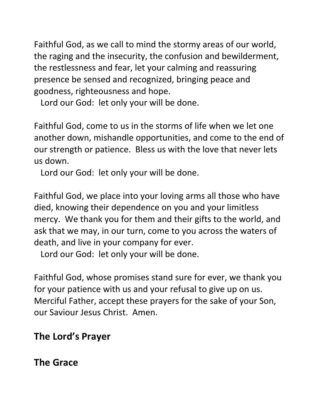Faithful God, as we call to mind the stormy areas of our world, the raging and the insecurity, the confusion and bewilderment, the restlessness and fear, let your calming and reassuring presence be sensed and recognized, bringing peace and goodness, righteousness and hope.

Lord our God: let only your will be done.

Faithful God, come to us in the storms of life when we let one another down, mishandle opportunities, and come to the end of our strength or patience. Bless us with the love that never lets us down.

Lord our God: let only your will be done.

Faithful God, we place into your loving arms all those who have died, knowing their dependence on you and your limitless mercy. We thank you for them and their gifts to the world, and ask that we may, in our turn, come to you across the waters of death, and live in your company for ever.

Lord our God: let only your will be done.

Faithful God, whose promises stand sure for ever, we thank you for your patience with us and your refusal to give up on us. Merciful Father, accept these prayers for the sake of your Son, our Saviour Jesus Christ. Amen.

# **The Lord's Prayer**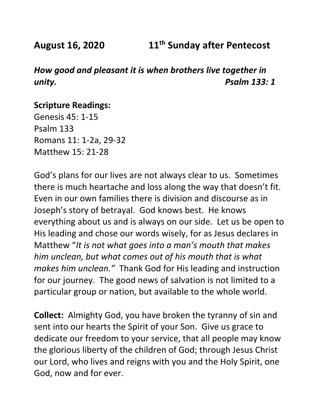**August 16, 2020 11th Sunday after Pentecost**

*How good and pleasant it is when brothers live together in unity. Psalm 133: 1*

#### **Scripture Readings:**

Genesis 45: 1-15 Psalm 133 Romans 11: 1-2a, 29-32 Matthew 15: 21-28

God's plans for our lives are not always clear to us. Sometimes there is much heartache and loss along the way that doesn't fit. Even in our own families there is division and discourse as in Joseph's story of betrayal. God knows best. He knows everything about us and is always on our side. Let us be open to His leading and chose our words wisely, for as Jesus declares in Matthew "*It is not what goes into a man's mouth that makes him unclean, but what comes out of his mouth that is what makes him unclean."* Thank God for His leading and instruction for our journey. The good news of salvation is not limited to a particular group or nation, but available to the whole world.

**Collect:** Almighty God, you have broken the tyranny of sin and sent into our hearts the Spirit of your Son. Give us grace to dedicate our freedom to your service, that all people may know the glorious liberty of the children of God; through Jesus Christ our Lord, who lives and reigns with you and the Holy Spirit, one God, now and for ever.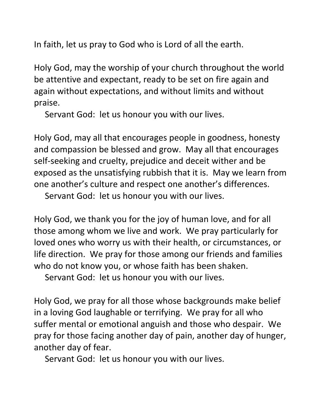In faith, let us pray to God who is Lord of all the earth.

Holy God, may the worship of your church throughout the world be attentive and expectant, ready to be set on fire again and again without expectations, and without limits and without praise.

Servant God: let us honour you with our lives.

Holy God, may all that encourages people in goodness, honesty and compassion be blessed and grow. May all that encourages self-seeking and cruelty, prejudice and deceit wither and be exposed as the unsatisfying rubbish that it is. May we learn from one another's culture and respect one another's differences.

Servant God: let us honour you with our lives.

Holy God, we thank you for the joy of human love, and for all those among whom we live and work. We pray particularly for loved ones who worry us with their health, or circumstances, or life direction. We pray for those among our friends and families who do not know you, or whose faith has been shaken.

Servant God: let us honour you with our lives.

Holy God, we pray for all those whose backgrounds make belief in a loving God laughable or terrifying. We pray for all who suffer mental or emotional anguish and those who despair. We pray for those facing another day of pain, another day of hunger, another day of fear.

Servant God: let us honour you with our lives.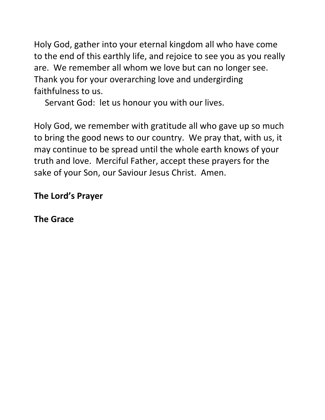Holy God, gather into your eternal kingdom all who have come to the end of this earthly life, and rejoice to see you as you really are. We remember all whom we love but can no longer see. Thank you for your overarching love and undergirding faithfulness to us.

Servant God: let us honour you with our lives.

Holy God, we remember with gratitude all who gave up so much to bring the good news to our country. We pray that, with us, it may continue to be spread until the whole earth knows of your truth and love. Merciful Father, accept these prayers for the sake of your Son, our Saviour Jesus Christ. Amen.

## **The Lord's Prayer**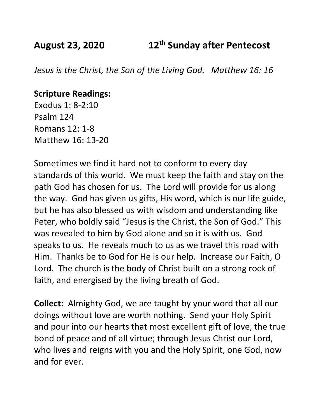**August 23, 2020 12th Sunday after Pentecost**

*Jesus is the Christ, the Son of the Living God. Matthew 16: 16*

#### **Scripture Readings:**

Exodus 1: 8-2:10 Psalm 124 Romans 12: 1-8 Matthew 16: 13-20

Sometimes we find it hard not to conform to every day standards of this world. We must keep the faith and stay on the path God has chosen for us. The Lord will provide for us along the way. God has given us gifts, His word, which is our life guide, but he has also blessed us with wisdom and understanding like Peter, who boldly said "Jesus is the Christ, the Son of God." This was revealed to him by God alone and so it is with us. God speaks to us. He reveals much to us as we travel this road with Him. Thanks be to God for He is our help. Increase our Faith, O Lord. The church is the body of Christ built on a strong rock of faith, and energised by the living breath of God.

**Collect:** Almighty God, we are taught by your word that all our doings without love are worth nothing. Send your Holy Spirit and pour into our hearts that most excellent gift of love, the true bond of peace and of all virtue; through Jesus Christ our Lord, who lives and reigns with you and the Holy Spirit, one God, now and for ever.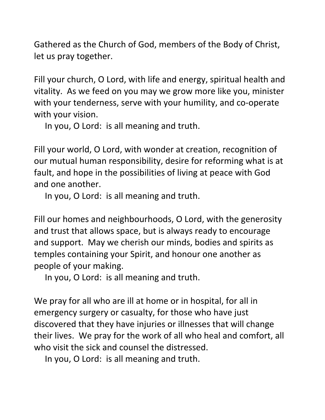Gathered as the Church of God, members of the Body of Christ, let us pray together.

Fill your church, O Lord, with life and energy, spiritual health and vitality. As we feed on you may we grow more like you, minister with your tenderness, serve with your humility, and co-operate with your vision.

In you, O Lord: is all meaning and truth.

Fill your world, O Lord, with wonder at creation, recognition of our mutual human responsibility, desire for reforming what is at fault, and hope in the possibilities of living at peace with God and one another.

In you, O Lord: is all meaning and truth.

Fill our homes and neighbourhoods, O Lord, with the generosity and trust that allows space, but is always ready to encourage and support. May we cherish our minds, bodies and spirits as temples containing your Spirit, and honour one another as people of your making.

In you, O Lord: is all meaning and truth.

We pray for all who are ill at home or in hospital, for all in emergency surgery or casualty, for those who have just discovered that they have injuries or illnesses that will change their lives. We pray for the work of all who heal and comfort, all who visit the sick and counsel the distressed.

In you, O Lord: is all meaning and truth.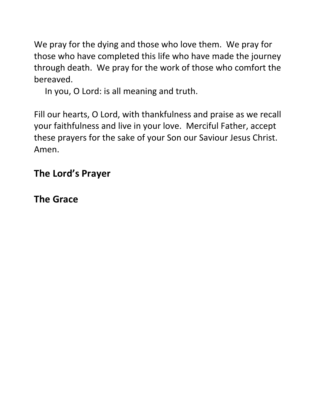We pray for the dying and those who love them. We pray for those who have completed this life who have made the journey through death. We pray for the work of those who comfort the bereaved.

In you, O Lord: is all meaning and truth.

Fill our hearts, O Lord, with thankfulness and praise as we recall your faithfulness and live in your love. Merciful Father, accept these prayers for the sake of your Son our Saviour Jesus Christ. Amen.

# **The Lord's Prayer**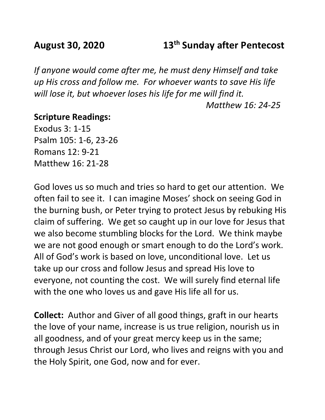## **August 30, 2020 13th Sunday after Pentecost**

*If anyone would come after me, he must deny Himself and take up His cross and follow me. For whoever wants to save His life will lose it, but whoever loses his life for me will find it. Matthew 16: 24-25*

#### **Scripture Readings:**

Exodus 3: 1-15 Psalm 105: 1-6, 23-26 Romans 12: 9-21 Matthew 16: 21-28

God loves us so much and tries so hard to get our attention. We often fail to see it. I can imagine Moses' shock on seeing God in the burning bush, or Peter trying to protect Jesus by rebuking His claim of suffering. We get so caught up in our love for Jesus that we also become stumbling blocks for the Lord. We think maybe we are not good enough or smart enough to do the Lord's work. All of God's work is based on love, unconditional love. Let us take up our cross and follow Jesus and spread His love to everyone, not counting the cost. We will surely find eternal life with the one who loves us and gave His life all for us.

**Collect:** Author and Giver of all good things, graft in our hearts the love of your name, increase is us true religion, nourish us in all goodness, and of your great mercy keep us in the same; through Jesus Christ our Lord, who lives and reigns with you and the Holy Spirit, one God, now and for ever.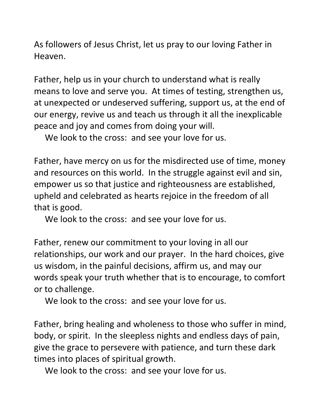As followers of Jesus Christ, let us pray to our loving Father in Heaven.

Father, help us in your church to understand what is really means to love and serve you. At times of testing, strengthen us, at unexpected or undeserved suffering, support us, at the end of our energy, revive us and teach us through it all the inexplicable peace and joy and comes from doing your will.

We look to the cross: and see your love for us.

Father, have mercy on us for the misdirected use of time, money and resources on this world. In the struggle against evil and sin, empower us so that justice and righteousness are established, upheld and celebrated as hearts rejoice in the freedom of all that is good.

We look to the cross: and see your love for us.

Father, renew our commitment to your loving in all our relationships, our work and our prayer. In the hard choices, give us wisdom, in the painful decisions, affirm us, and may our words speak your truth whether that is to encourage, to comfort or to challenge.

We look to the cross: and see your love for us.

Father, bring healing and wholeness to those who suffer in mind, body, or spirit. In the sleepless nights and endless days of pain, give the grace to persevere with patience, and turn these dark times into places of spiritual growth.

We look to the cross: and see your love for us.